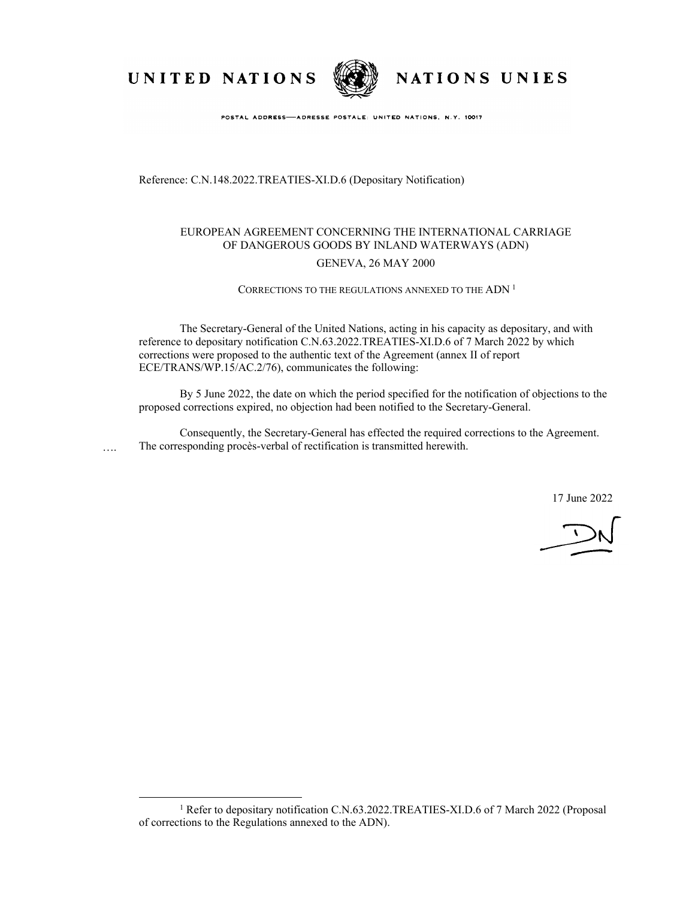UNITED NATIONS



NATIONS UNIES

POSTAL ADDRESS-ADRESSE POSTALE: UNITED NATIONS, N.Y. 10017

Reference: C.N.148.2022.TREATIES-XI.D.6 (Depositary Notification)

## EUROPEAN AGREEMENT CONCERNING THE INTERNATIONAL CARRIAGE OF DANGEROUS GOODS BY INLAND WATERWAYS (ADN)

### GENEVA, 26 MAY 2000

### CORRECTIONS TO THE REGULATIONS ANNEXED TO THE ADN <sup>1</sup>

The Secretary-General of the United Nations, acting in his capacity as depositary, and with reference to depositary notification C.N.63.2022.TREATIES-XI.D.6 of 7 March 2022 by which corrections were proposed to the authentic text of the Agreement (annex II of report ECE/TRANS/WP.15/AC.2/76), communicates the following:

By 5 June 2022, the date on which the period specified for the notification of objections to the proposed corrections expired, no objection had been notified to the Secretary-General.

Consequently, the Secretary-General has effected the required corrections to the Agreement. The corresponding procès-verbal of rectification is transmitted herewith. ….

17 June 2022

<sup>&</sup>lt;sup>1</sup> Refer to depositary notification C.N.63.2022.TREATIES-XI.D.6 of 7 March 2022 (Proposal of corrections to the Regulations annexed to the ADN).